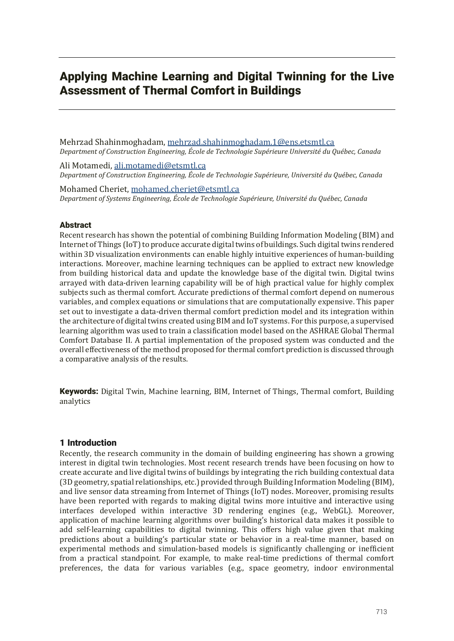# Applying Machine Learning and Digital Twinning for the Live Assessment of Thermal Comfort in Buildings

Mehrzad Shahinmoghadam, mehrzad.shahinmoghadam.1@ens.etsmtl.ca *Department of Construction Engineering, École de Technologie Supérieure Université du Québec, Canada*

Ali Motamedi, ali.motamedi@etsmtl.ca *Department of Construction Engineering, École de Technologie Supérieure, Université du Québec, Canada*

Mohamed Cheriet, mohamed.cheriet@etsmtl.ca *Department of Systems Engineering, École de Technologie Supérieure, Université du Québec, Canada*

# Abstract

Recent research has shown the potential of combining Building Information Modeling (BIM) and Internet of Things (IoT) to produce accurate digital twins of buildings. Such digital twins rendered within 3D visualization environments can enable highly intuitive experiences of human-building interactions. Moreover, machine learning techniques can be applied to extract new knowledge from building historical data and update the knowledge base of the digital twin. Digital twins arrayed with data-driven learning capability will be of high practical value for highly complex subjects such as thermal comfort. Accurate predictions of thermal comfort depend on numerous variables, and complex equations or simulations that are computationally expensive. This paper set out to investigate a data-driven thermal comfort prediction model and its integration within the architecture of digital twins created using BIM and IoT systems. For this purpose, a supervised learning algorithm was used to train a classification model based on the ASHRAE Global Thermal Comfort Database II. A partial implementation of the proposed system was conducted and the overall effectiveness of the method proposed for thermal comfort prediction is discussed through a comparative analysis of the results.

**Keywords:** Digital Twin, Machine learning, BIM, Internet of Things, Thermal comfort, Building analytics

# 1 Introduction

Recently, the research community in the domain of building engineering has shown a growing interest in digital twin technologies. Most recent research trends have been focusing on how to create accurate and live digital twins of buildings by integrating the rich building contextual data (3D geometry, spatial relationships, etc.) provided through Building Information Modeling (BIM), and live sensor data streaming from Internet of Things (IoT) nodes. Moreover, promising results have been reported with regards to making digital twins more intuitive and interactive using interfaces developed within interactive 3D rendering engines (e.g., WebGL). Moreover, application of machine learning algorithms over building's historical data makes it possible to add self-learning capabilities to digital twinning. This offers high value given that making predictions about a building's particular state or behavior in a real-time manner, based on experimental methods and simulation-based models is significantly challenging or inefficient from a practical standpoint. For example, to make real-time predictions of thermal comfort preferences, the data for various variables (e.g., space geometry, indoor environmental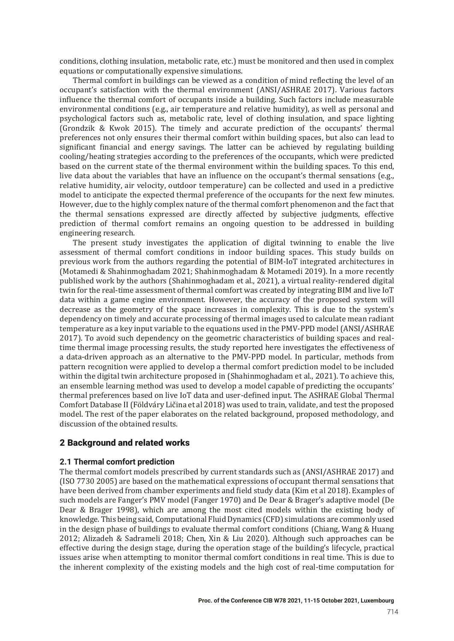conditions, clothing insulation, metabolic rate, etc. must be monitored and then used in complex equations or computationally expensive simulations.

Thermal comfort in buildings can be viewed as a condition of mind reflecting the level of an occupant's satisfaction with the thermal environment (ANSI/ASHRAE 2017). Various factors influence the thermal comfort of occupants inside a building. Such factors include measurable environmental conditions (e.g., air temperature and relative humidity), as well as personal and psychological factors such as, metabolic rate, level of clothing insulation, and space lighting (Grondzik & Kwok 2015). The timely and accurate prediction of the occupants' thermal preferences not only ensures their thermal comfort within building spaces, but also can lead to significant financial and energy savings. The latter can be achieved by regulating building cooling/heating strategies according to the preferences of the occupants, which were predicted based on the current state of the thermal environment within the building spaces. To this end, live data about the variables that have an influence on the occupant's thermal sensations (e.g., relative humidity, air velocity, outdoor temperature) can be collected and used in a predictive model to anticipate the expected thermal preference of the occupants for the next few minutes. However, due to the highly complex nature of the thermal comfort phenomenon and the fact that the thermal sensations expressed are directly affected by subjective judgments, effective prediction of thermal comfort remains an ongoing question to be addressed in building engineering research.

The present study investigates the application of digital twinning to enable the live assessment of thermal comfort conditions in indoor building spaces. This study builds on previous work from the authors regarding the potential of BIM-IoT integrated architectures in (Motamedi & Shahinmoghadam 2021; Shahinmoghadam & Motamedi 2019). In a more recently published work by the authors (Shahinmoghadam et al., 2021), a virtual reality-rendered digital twin for the real-time assessment of thermal comfort was created by integrating BIM and live IoT data within a game engine environment. However, the accuracy of the proposed system will decrease as the geometry of the space increases in complexity. This is due to the system's dependency on timely and accurate processing of thermal images used to calculate mean radiant temperature as a key input variable to the equations used in the PMV-PPD model (ANSI/ASHRAE 2017). To avoid such dependency on the geometric characteristics of building spaces and realtime thermal image processing results, the study reported here investigates the effectiveness of a data-driven approach as an alternative to the PMV-PPD model. In particular, methods from pattern recognition were applied to develop a thermal comfort prediction model to be included within the digital twin architecture proposed in (Shahinmoghadam et al., 2021). To achieve this, an ensemble learning method was used to develop a model capable of predicting the occupants' thermal preferences based on live IoT data and user-defined input. The ASHRAE Global Thermal Comfort Database II (Földváry Ličina et al 2018) was used to train, validate, and test the proposed model. The rest of the paper elaborates on the related background, proposed methodology, and discussion of the obtained results.

# 2 Background and related works

# **2.1 Thermal comfort prediction**

The thermal comfort models prescribed by current standards such as  $(ANSI/ASHRAE 2017)$  and  $($ ISO 7730 2005) are based on the mathematical expressions of occupant thermal sensations that have been derived from chamber experiments and field study data (Kim et al 2018). Examples of such models are Fanger's PMV model (Fanger 1970) and De Dear & Brager's adaptive model (De Dear & Brager 1998), which are among the most cited models within the existing body of knowledge. This being said, Computational Fluid Dynamics (CFD) simulations are commonly used in the design phase of buildings to evaluate thermal comfort conditions (Chiang, Wang & Huang 2012; Alizadeh & Sadrameli 2018; Chen, Xin & Liu 2020). Although such approaches can be effective during the design stage, during the operation stage of the building's lifecycle, practical issues arise when attempting to monitor thermal comfort conditions in real time. This is due to the inherent complexity of the existing models and the high cost of real-time computation for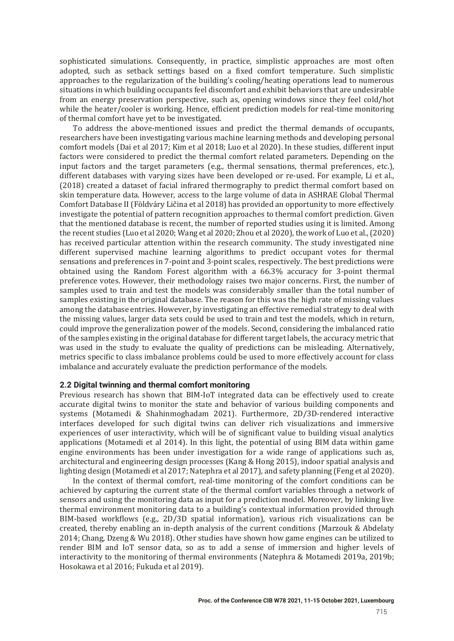sophisticated simulations. Consequently, in practice, simplistic approaches are most often adopted, such as setback settings based on a fixed comfort temperature. Such simplistic approaches to the regularization of the building's cooling/heating operations lead to numerous situations in which building occupants feel discomfort and exhibit behaviors that are undesirable from an energy preservation perspective, such as, opening windows since they feel cold/hot while the heater/cooler is working. Hence, efficient prediction models for real-time monitoring of thermal comfort have yet to be investigated.

To address the above-mentioned issues and predict the thermal demands of occupants, researchers have been investigating various machine learning methods and developing personal comfort models (Dai et al 2017; Kim et al 2018; Luo et al 2020). In these studies, different input factors were considered to predict the thermal comfort related parameters. Depending on the input factors and the target parameters  $(e.g.,$  thermal sensations, thermal preferences, etc.), different databases with varying sizes have been developed or re-used. For example, Li et al., (2018) created a dataset of facial infrared thermography to predict thermal comfort based on skin temperature data. However, access to the large volume of data in ASHRAE Global Thermal Comfort Database II (Földváry Ličina et al 2018) has provided an opportunity to more effectively investigate the potential of pattern recognition approaches to thermal comfort prediction. Given that the mentioned database is recent, the number of reported studies using it is limited. Among the recent studies (Luo et al 2020; Wang et al 2020; Zhou et al 2020), the work of Luo et al.,  $(2020)$ has received particular attention within the research community. The study investigated nine different supervised machine learning algorithms to predict occupant votes for thermal sensations and preferences in 7-point and 3-point scales, respectively. The best predictions were obtained using the Random Forest algorithm with a  $66.3\%$  accuracy for 3-point thermal preference votes. However, their methodology raises two major concerns. First, the number of samples used to train and test the models was considerably smaller than the total number of samples existing in the original database. The reason for this was the high rate of missing values among the database entries. However, by investigating an effective remedial strategy to deal with the missing values, larger data sets could be used to train and test the models, which in return, could improve the generalization power of the models. Second, considering the imbalanced ratio of the samples existing in the original database for different target labels, the accuracy metric that was used in the study to evaluate the quality of predictions can be misleading. Alternatively, metrics specific to class imbalance problems could be used to more effectively account for class imbalance and accurately evaluate the prediction performance of the models.

#### **2.2 Digital twinning and thermal comfort monitoring**

Previous research has shown that BIM-IoT integrated data can be effectively used to create accurate digital twins to monitor the state and behavior of various building components and systems (Motamedi & Shahinmoghadam 2021). Furthermore, 2D/3D-rendered interactive interfaces developed for such digital twins can deliver rich visualizations and immersive experiences of user interactivity, which will be of significant value to building visual analytics applications (Motamedi et al 2014). In this light, the potential of using BIM data within game engine environments has been under investigation for a wide range of applications such as, architectural and engineering design processes (Kang & Hong 2015), indoor spatial analysis and lighting design (Motamedi et al 2017; Natephra et al 2017), and safety planning (Feng et al 2020).

In the context of thermal comfort, real-time monitoring of the comfort conditions can be achieved by capturing the current state of the thermal comfort variables through a network of sensors and using the monitoring data as input for a prediction model. Moreover, by linking live thermal environment monitoring data to a building's contextual information provided through  $BIM$ -based workflows  $(e.g., 2D/3D$  spatial information), various rich visualizations can be created, thereby enabling an in-depth analysis of the current conditions (Marzouk & Abdelaty  $2014$ ; Chang, Dzeng & Wu 2018). Other studies have shown how game engines can be utilized to render BIM and IoT sensor data, so as to add a sense of immersion and higher levels of interactivity to the monitoring of thermal environments (Natephra & Motamedi 2019a, 2019b; Hosokawa et al 2016; Fukuda et al 2019).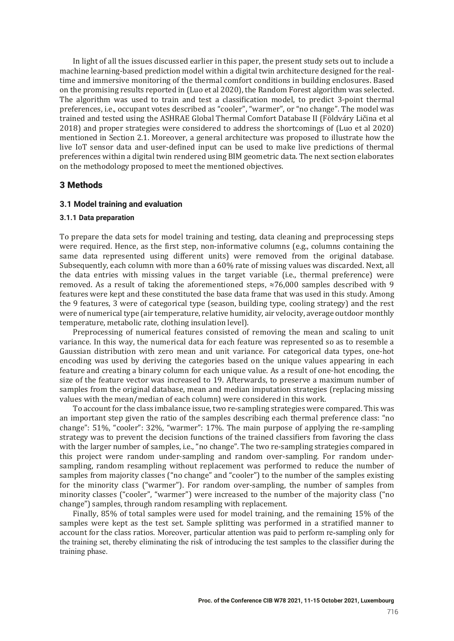In light of all the issues discussed earlier in this paper, the present study sets out to include a machine learning-based prediction model within a digital twin architecture designed for the realtime and immersive monitoring of the thermal comfort conditions in building enclosures. Based on the promising results reported in (Luo et al 2020), the Random Forest algorithm was selected. The algorithm was used to train and test a classification model, to predict 3-point thermal preferences, i.e., occupant votes described as "cooler", "warmer", or "no change". The model was trained and tested using the ASHRAE Global Thermal Comfort Database II (Földváry Ličina et al  $2018$ ) and proper strategies were considered to address the shortcomings of (Luo et al 2020) mentioned in Section 2.1. Moreover, a general architecture was proposed to illustrate how the live IoT sensor data and user-defined input can be used to make live predictions of thermal preferences within a digital twin rendered using BIM geometric data. The next section elaborates on the methodology proposed to meet the mentioned objectives.

### 3 Methods

## **3.1 Model training and evaluation**

#### **3.1.1 Data preparation**

To prepare the data sets for model training and testing, data cleaning and preprocessing steps were required. Hence, as the first step, non-informative columns (e.g., columns containing the same data represented using different units) were removed from the original database. Subsequently, each column with more than a 60% rate of missing values was discarded. Next, all the data entries with missing values in the target variable (i.e., thermal preference) were removed. As a result of taking the aforementioned steps,  $\approx 76,000$  samples described with 9 features were kept and these constituted the base data frame that was used in this study. Among the 9 features, 3 were of categorical type (season, building type, cooling strategy) and the rest were of numerical type (air temperature, relative humidity, air velocity, average outdoor monthly temperature, metabolic rate, clothing insulation level).

Preprocessing of numerical features consisted of removing the mean and scaling to unit variance. In this way, the numerical data for each feature was represented so as to resemble a Gaussian distribution with zero mean and unit variance. For categorical data types, one-hot encoding was used by deriving the categories based on the unique values appearing in each feature and creating a binary column for each unique value. As a result of one-hot encoding, the size of the feature vector was increased to 19. Afterwards, to preserve a maximum number of samples from the original database, mean and median imputation strategies (replacing missing values with the mean/median of each column) were considered in this work.

To account for the class imbalance issue, two re-sampling strategies were compared. This was an important step given the ratio of the samples describing each thermal preference class: "no change": 51%, "cooler": 32%, "warmer": 17%. The main purpose of applying the re-sampling strategy was to prevent the decision functions of the trained classifiers from favoring the class with the larger number of samples, i.e., "no change". The two re-sampling strategies compared in this project were random under-sampling and random over-sampling. For random undersampling, random resampling without replacement was performed to reduce the number of samples from majority classes ("no change" and "cooler") to the number of the samples existing for the minority class ("warmer"). For random over-sampling, the number of samples from minority classes ("cooler", "warmer") were increased to the number of the majority class ("no change") samples, through random resampling with replacement.

Finally, 85% of total samples were used for model training, and the remaining 15% of the samples were kept as the test set. Sample splitting was performed in a stratified manner to account for the class ratios. Moreover, particular attention was paid to perform re-sampling only for the training set, thereby eliminating the risk of introducing the test samples to the classifier during the training phase.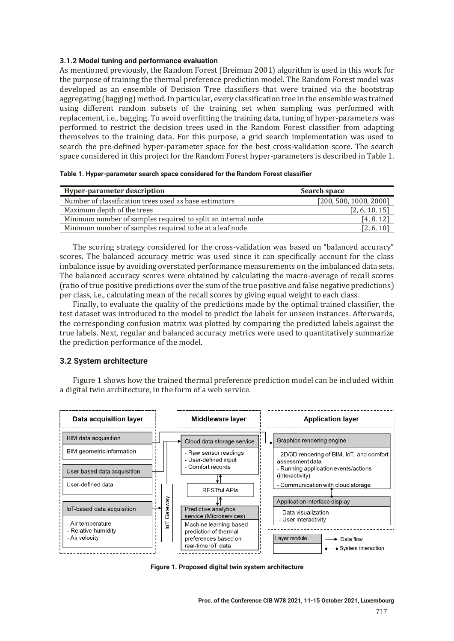#### **3.1.2 Model tuning and performance evaluation**

As mentioned previously, the Random Forest (Breiman 2001) algorithm is used in this work for the purpose of training the thermal preference prediction model. The Random Forest model was developed as an ensemble of Decision Tree classifiers that were trained via the bootstrap aggregating (bagging) method. In particular, every classification tree in the ensemble was trained using different random subsets of the training set when sampling was performed with replacement, i.e., bagging. To avoid overfitting the training data, tuning of hyper-parameters was performed to restrict the decision trees used in the Random Forest classifier from adapting themselves to the training data. For this purpose, a grid search implementation was used to search the pre-defined hyper-parameter space for the best cross-validation score. The search space considered in this project for the Random Forest hyper-parameters is described in Table 1.

|  | Table 1. Hyper-parameter search space considered for the Random Forest classifier |
|--|-----------------------------------------------------------------------------------|
|--|-----------------------------------------------------------------------------------|

| Hyper-parameter description                                  | Search space           |
|--------------------------------------------------------------|------------------------|
| Number of classification trees used as base estimators       | [200, 500, 1000, 2000] |
| Maximum depth of the trees                                   | [2, 6, 10, 15]         |
| Minimum number of samples required to split an internal node | [4, 8, 12]             |
| Minimum number of samples required to be at a leaf node      | [2, 6, 10]             |

The scoring strategy considered for the cross-validation was based on "balanced accuracy" scores. The balanced accuracy metric was used since it can specifically account for the class imbalance issue by avoiding overstated performance measurements on the imbalanced data sets. The balanced accuracy scores were obtained by calculating the macro-average of recall scores ȋratio of true positive predictions over the sum of the true positive and false negative predictionsȌ per class, i.e., calculating mean of the recall scores by giving equal weight to each class.

Finally, to evaluate the quality of the predictions made by the optimal trained classifier, the test dataset was introduced to the model to predict the labels for unseen instances. Afterwards, the corresponding confusion matrix was plotted by comparing the predicted labels against the true labels. Next, regular and balanced accuracy metrics were used to quantitatively summarize the prediction performance of the model.

# **3.2 System architecture**

Figure 1 shows how the trained thermal preference prediction model can be included within a digital twin architecture, in the form of a web service.



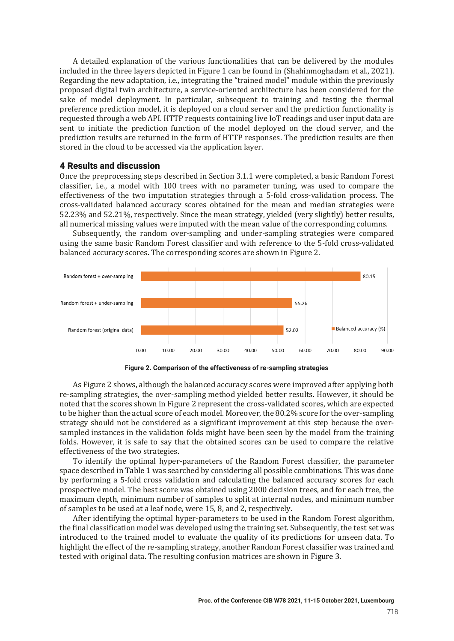A detailed explanation of the various functionalities that can be delivered by the modules included in the three layers depicted in Figure 1 can be found in (Shahinmoghadam et al., 2021). Regarding the new adaptation, i.e., integrating the "trained model" module within the previously proposed digital twin architecture, a service-oriented architecture has been considered for the sake of model deployment. In particular, subsequent to training and testing the thermal preference prediction model, it is deployed on a cloud server and the prediction functionality is requested through a web API. HTTP requests containing live IoT readings and user input data are sent to initiate the prediction function of the model deployed on the cloud server, and the prediction results are returned in the form of HTTP responses. The prediction results are then stored in the cloud to be accessed via the application layer.

#### 4 Results and discussion

Once the preprocessing steps described in Section 3.1.1 were completed, a basic Random Forest classifier, i.e., a model with 100 trees with no parameter tuning, was used to compare the effectiveness of the two imputation strategies through a 5-fold cross-validation process. The cross-validated balanced accuracy scores obtained for the mean and median strategies were 52.23% and 52.21%, respectively. Since the mean strategy, yielded (very slightly) better results, all numerical missing values were imputed with the mean value of the corresponding columns.

Subsequently, the random over-sampling and under-sampling strategies were compared using the same basic Random Forest classifier and with reference to the 5-fold cross-validated balanced accuracy scores. The corresponding scores are shown in Figure 2.





As Figure 2 shows, although the balanced accuracy scores were improved after applying both re-sampling strategies, the over-sampling method yielded better results. However, it should be noted that the scores shown in Figure 2 represent the cross-validated scores, which are expected to be higher than the actual score of each model. Moreover, the 80.2% score for the over-sampling strategy should not be considered as a significant improvement at this step because the oversampled instances in the validation folds might have been seen by the model from the training folds. However, it is safe to say that the obtained scores can be used to compare the relative effectiveness of the two strategies.

To identify the optimal hyper-parameters of the Random Forest classifier, the parameter space described in Table 1 was searched by considering all possible combinations. This was done by performing a 5-fold cross validation and calculating the balanced accuracy scores for each prospective model. The best score was obtained using 2000 decision trees, and for each tree, the maximum depth, minimum number of samples to split at internal nodes, and minimum number of samples to be used at a leaf node, were 15, 8, and 2, respectively.

After identifying the optimal hyper-parameters to be used in the Random Forest algorithm, the final classification model was developed using the training set. Subsequently, the test set was introduced to the trained model to evaluate the quality of its predictions for unseen data. To highlight the effect of the re-sampling strategy, another Random Forest classifier was trained and tested with original data. The resulting confusion matrices are shown in Figure 3.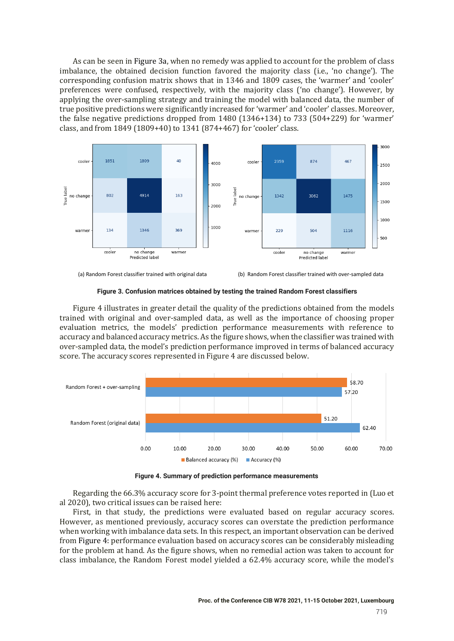As can be seen in Figure 3a, when no remedy was applied to account for the problem of class imbalance, the obtained decision function favored the majority class (i.e., 'no change'). The corresponding confusion matrix shows that in 1346 and 1809 cases, the 'warmer' and 'cooler' preferences were confused, respectively, with the majority class ('no change'). However, by applying the over-sampling strategy and training the model with balanced data, the number of true positive predictions were significantly increased for 'warmer' and 'cooler' classes. Moreover, the false negative predictions dropped from  $1480$   $(1346+134)$  to  $733$   $(504+229)$  for 'warmer' class, and from 1849 (1809+40) to 1341 (874+467) for 'cooler' class.





(a) Random Forest classifier trained with original data (b) Random Forest classifier trained with over-sampled data

**Figure 3. Confusion matrices obtained by testing the trained Random Forest classifiers**

Figure 4 illustrates in greater detail the quality of the predictions obtained from the models trained with original and over-sampled data, as well as the importance of choosing proper evaluation metrics, the models' prediction performance measurements with reference to accuracy and balanced accuracy metrics. As the figure shows, when the classifier was trained with over-sampled data, the model's prediction performance improved in terms of balanced accuracy score. The accuracy scores represented in Figure 4 are discussed below.



**Figure 4. Summary of prediction performance measurements**

Regarding the 66.3% accuracy score for 3-point thermal preference votes reported in (Luo et al 2020), two critical issues can be raised here:

First, in that study, the predictions were evaluated based on regular accuracy scores. However, as mentioned previously, accuracy scores can overstate the prediction performance when working with imbalance data sets. In this respect, an important observation can be derived from Figure 4: performance evaluation based on accuracy scores can be considerably misleading for the problem at hand. As the figure shows, when no remedial action was taken to account for class imbalance, the Random Forest model yielded a 62.4% accuracy score, while the model's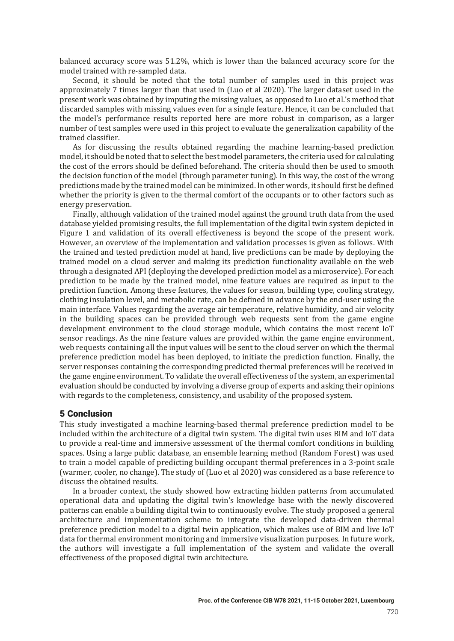balanced accuracy score was 51.2%, which is lower than the balanced accuracy score for the model trained with re-sampled data.

Second, it should be noted that the total number of samples used in this project was approximately 7 times larger than that used in (Luo et al 2020). The larger dataset used in the present work was obtained by imputing the missing values, as opposed to Luo et al.'s method that discarded samples with missing values even for a single feature. Hence, it can be concluded that the model's performance results reported here are more robust in comparison, as a larger number of test samples were used in this project to evaluate the generalization capability of the trained classifier.

As for discussing the results obtained regarding the machine learning-based prediction model, it should be noted that to select the best model parameters, the criteria used for calculating the cost of the errors should be defined beforehand. The criteria should then be used to smooth the decision function of the model (through parameter tuning). In this way, the cost of the wrong predictions made by the trained model can be minimized. In other words, it should first be defined whether the priority is given to the thermal comfort of the occupants or to other factors such as energy preservation.

Finally, although validation of the trained model against the ground truth data from the used database yielded promising results, the full implementation of the digital twin system depicted in Figure 1 and validation of its overall effectiveness is beyond the scope of the present work. However, an overview of the implementation and validation processes is given as follows. With the trained and tested prediction model at hand, live predictions can be made by deploying the trained model on a cloud server and making its prediction functionality available on the web through a designated API (deploying the developed prediction model as a microservice). For each prediction to be made by the trained model, nine feature values are required as input to the prediction function. Among these features, the values for season, building type, cooling strategy, clothing insulation level, and metabolic rate, can be defined in advance by the end-user using the main interface. Values regarding the average air temperature, relative humidity, and air velocity in the building spaces can be provided through web requests sent from the game engine development environment to the cloud storage module, which contains the most recent IoT sensor readings. As the nine feature values are provided within the game engine environment, web requests containing all the input values will be sent to the cloud server on which the thermal preference prediction model has been deployed, to initiate the prediction function. Finally, the server responses containing the corresponding predicted thermal preferences will be received in the game engine environment. To validate the overall effectiveness of the system, an experimental evaluation should be conducted by involving a diverse group of experts and asking their opinions with regards to the completeness, consistency, and usability of the proposed system.

# 5 Conclusion

This study investigated a machine learning-based thermal preference prediction model to be included within the architecture of a digital twin system. The digital twin uses BIM and IoT data to provide a real-time and immersive assessment of the thermal comfort conditions in building spaces. Using a large public database, an ensemble learning method (Random Forest) was used to train a model capable of predicting building occupant thermal preferences in a 3-point scale (warmer, cooler, no change). The study of (Luo et al 2020) was considered as a base reference to discuss the obtained results.

In a broader context, the study showed how extracting hidden patterns from accumulated operational data and updating the digital twin's knowledge base with the newly discovered patterns can enable a building digital twin to continuously evolve. The study proposed a general architecture and implementation scheme to integrate the developed data-driven thermal preference prediction model to a digital twin application, which makes use of BIM and live IoT data for thermal environment monitoring and immersive visualization purposes. In future work, the authors will investigate a full implementation of the system and validate the overall effectiveness of the proposed digital twin architecture.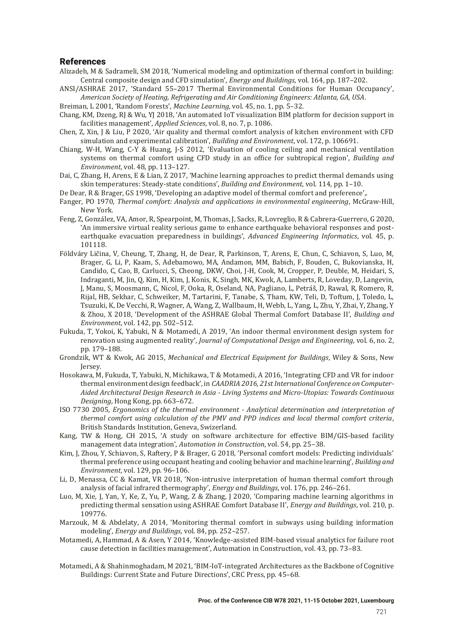#### References

- Alizadeh, M & Sadrameli, SM 2018, 'Numerical modeling and optimization of thermal comfort in building: Central composite design and CFD simulation', *Energy and Buildings*, vol. 164, pp. 187–202.
- ANSI/ASHRAE 2017, 'Standard 55-2017 Thermal Environmental Conditions for Human Occupancy', *American Society of Heating, Refrigerating and Air Conditioning Engineers: Atlanta, GA, USA.*
- Breiman, L 2001, 'Random Forests', *Machine Learning*, vol. 45, no. 1, pp. 5-32.
- Chang, KM, Dzeng, RJ & Wu, YJ 2018, 'An automated IoT visualization BIM platform for decision support in facilities management', *Applied Sciences*, vol. 8, no. 7, p. 1086.
- Chen, Z, Xin, J & Liu, P 2020, 'Air quality and thermal comfort analysis of kitchen environment with CFD simulation and experimental calibration', *Building and Environment*, vol. 172, p. 106691.
- Chiang, W-H, Wang, C-Y & Huang, J-S 2012, 'Evaluation of cooling ceiling and mechanical ventilation systems on thermal comfort using CFD study in an office for subtropical region', *Building and Environment, vol.* 48, pp. 113-127.
- Dai, C, Zhang, H, Arens, E & Lian, Z 2017, 'Machine learning approaches to predict thermal demands using skin temperatures: Steady-state conditions', *Building and Environment*, vol. 114, pp. 1–10.
- De Dear, R & Brager, GS 1998, 'Developing an adaptive model of thermal comfort and preference',.
- Fanger, PO 1970, *Thermal comfort: Analysis and applications in environmental engineering*, McGraw-Hill, New York.
- Feng, Z, González, VA, Amor, R, Spearpoint, M, Thomas, J, Sacks, R, Lovreglio, R & Cabrera-Guerrero, G 2020, 'An immersive virtual reality serious game to enhance earthquake behavioral responses and postearthquake evacuation preparedness in buildings', *Advanced Engineering Informatics*, vol. 45, p. 101118.
- Földváry Ličina, V, Cheung, T, Zhang, H, de Dear, R, Parkinson, T, Arens, E, Chun, C, Schiavon, S, Luo, M, Brager, G, Li, P, Kaam, S, Adebamowo, MA, Andamon, MM, Babich, F, Bouden, C, Bukovianska, H, Candido, C, Cao, B, Carlucci, S, Cheong, DKW, Choi, J-H, Cook, M, Cropper, P, Deuble, M, Heidari, S, Indraganti, M, Jin, Q, Kim, H, Kim, J, Konis, K, Singh, MK, Kwok, A, Lamberts, R, Loveday, D, Langevin, J, Manu, S, Moosmann, C, Nicol, F, Ooka, R, Oseland, NA, Pagliano, L, Petráš, D, Rawal, R, Romero, R, Rijal, HB, Sekhar, C, Schweiker, M, Tartarini, F, Tanabe, S, Tham, KW, Teli, D, Toftum, J, Toledo, L, Tsuzuki, K, De Vecchi, R, Wagner, A, Wang, Z, Wallbaum, H, Webb, L, Yang, L, Zhu, Y, Zhai, Y, Zhang, Y & Zhou, X 2018, 'Development of the ASHRAE Global Thermal Comfort Database II', *Building and Environment.* vol. 142, pp. 502-512.
- Fukuda, T, Yokoi, K, Yabuki, N & Motamedi, A 2019, 'An indoor thermal environment design system for renovation using augmented reality', *Journal of Computational Design and Engineering*, vol. 6, no. 2, pp. 179-188.
- Grondzik, WT & Kwok, AG 2015, *Mechanical and Electrical Equipment for Buildings*, Wiley & Sons, New Jersey.
- Hosokawa, M, Fukuda, T, Yabuki, N, Michikawa, T & Motamedi, A 2016, 'Integrating CFD and VR for indoor thermal environment design feedback', in *CAADRIA 2016, 21st International Conference on Computer-*Aided Architectural Design Research in Asia - Living Systems and Micro-Utopias: Towards Continuous *Designing*, Hong Kong, pp. 663-672.
- ISO 7730 2005, *Ergonomics of the thermal environment Analytical determination and interpretation of hermal comfort using calculation of the PMV and PPD indices and local thermal comfort criteria,* British Standards Institution, Geneva, Swizerland.
- Kang, TW & Hong, CH 2015, 'A study on software architecture for effective BIM/GIS-based facility management data integration', *Automation in Construction*, vol. 54, pp. 25-38.
- Kim, J, Zhou, Y, Schiavon, S, Raftery, P & Brager, G 2018, 'Personal comfort models: Predicting individuals' thermal preference using occupant heating and cooling behavior and machine learning', *Building and Environment, vol.* 129, pp. 96-106.
- Li, D, Menassa, CC & Kamat, VR 2018, 'Non-intrusive interpretation of human thermal comfort through analysis of facial infrared thermography', *Energy and Buildings*, vol. 176, pp. 246-261.
- Luo, M, Xie, J, Yan, Y, Ke, Z, Yu, P, Wang, Z & Zhang, J 2020, 'Comparing machine learning algorithms in predicting thermal sensation using ASHRAE Comfort Database II', *Energy and Buildings*, vol. 210, p. 109776.
- Marzouk, M & Abdelaty, A 2014, 'Monitoring thermal comfort in subways using building information modeling', *Energy and Buildings*, vol. 84, pp. 252-257.
- Motamedi, A, Hammad, A & Asen, Y 2014, 'Knowledge-assisted BIM-based visual analytics for failure root cause detection in facilities management', Automation in Construction, vol. 43, pp. 73-83.
- Motamedi, A & Shahinmoghadam, M 2021, 'BIM-IoT-integrated Architectures as the Backbone of Cognitive Buildings: Current State and Future Directions', CRC Press, pp. 45-68.